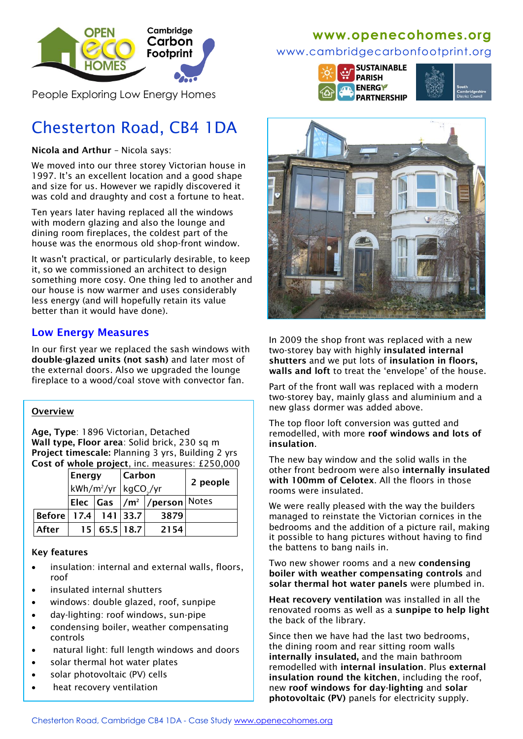

People Exploring Low Energy Homes

# Chesterton Road, CB4 1DA

**Nicola and Arthur** – Nicola says:

We moved into our three storey Victorian house in 1997. It's an excellent location and a good shape and size for us. However we rapidly discovered it was cold and draughty and cost a fortune to heat.

Ten years later having replaced all the windows with modern glazing and also the lounge and dining room fireplaces, the coldest part of the house was the enormous old shop-front window.

It wasn't practical, or particularly desirable, to keep it, so we commissioned an architect to design something more cosy. One thing led to another and our house is now warmer and uses considerably less energy (and will hopefully retain its value better than it would have done).

## **Low Energy Measures**

In our first year we replaced the sash windows with **double-glazed units (not sash)** and later most of the external doors. Also we upgraded the lounge fireplace to a wood/coal stove with convector fan.

### **Overview**

**Age, Type**: 1896 Victorian, Detached **Wall type, Floor area**: Solid brick, 230 sq m **Project timescale:** Planning 3 yrs, Building 2 yrs **Cost of whole project**, inc. measures: £250,000

|                            | Energy<br>kWh/m <sup>2</sup> /yr kgCO <sub>_</sub> /yr |              | Carbon |                                                       | 2 people |
|----------------------------|--------------------------------------------------------|--------------|--------|-------------------------------------------------------|----------|
|                            |                                                        |              |        |                                                       |          |
|                            |                                                        |              |        | Elec  Gas  /m <sup>2</sup>  /person  <sup>Notes</sup> |          |
| Before   17.4   141   33.7 |                                                        |              |        | 3879                                                  |          |
| After                      |                                                        | 15 65.5 18.7 |        | 2154                                                  |          |

### **Key features**

- insulation: internal and external walls, floors, roof
- insulated internal shutters
- windows: double glazed, roof, sunpipe
- day-lighting: roof windows, sun-pipe
- condensing boiler, weather compensating controls
- natural light: full length windows and doors
- solar thermal hot water plates
- solar photovoltaic (PV) cells
- heat recovery ventilation

## **www[.openecohomes.org](http://www.openecohomes.org/)**

### www.cambridgecarbonfootprint.org







In 2009 the shop front was replaced with a new two-storey bay with highly **insulated internal shutters** and we put lots of **insulation in floors, walls and loft** to treat the 'envelope' of the house.

Part of the front wall was replaced with a modern two-storey bay, mainly glass and aluminium and a new glass dormer was added above.

The top floor loft conversion was gutted and remodelled, with more **roof windows and lots of insulation**.

The new bay window and the solid walls in the other front bedroom were also **internally insulated with 100mm of Celotex**. All the floors in those rooms were insulated.

We were really pleased with the way the builders managed to reinstate the Victorian cornices in the bedrooms and the addition of a picture rail, making it possible to hang pictures without having to find the battens to bang nails in.

Two new shower rooms and a new **condensing boiler with weather compensating controls** and **solar thermal hot water panels** were plumbed in.

**Heat recovery ventilation** was installed in all the renovated rooms as well as a **sunpipe to help light** the back of the library.

Since then we have had the last two bedrooms, the dining room and rear sitting room walls **internally insulated,** and the main bathroom remodelled with **internal insulation**. Plus **external insulation round the kitchen**, including the roof, new **roof windows for day-lighting** and **solar photovoltaic (PV)** panels for electricity supply.